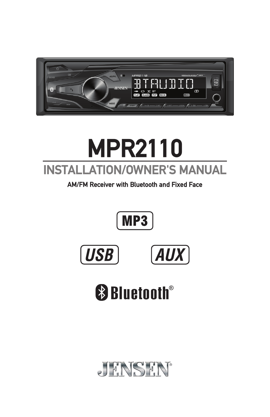

# **INSTALLATION/OWNER'S MANUAL MPR2110**

**AM/FM Receiver with Bluetooth and Fixed Face**







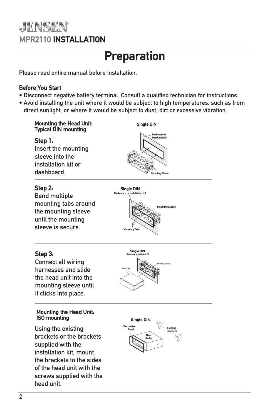### **JENSEN MPR2110 INSTALLATION**

## **Preparation**

Please read entire manual before installation.

#### **Before You Start**

- Disconnect negative battery terminal. Consult a qualified technician for instructions.
- Avoid installing the unit where it would be subject to high temperatures, such as from direct sunlight, or where it would be subject to dust, dirt or excessive vibration.



#### **Step 3:**

Connect all wiring harnesses and slide the head unit into the mounting sleeve until it clicks into place.

#### **Mounting the Head Unit: ISO mounting**

Using the existing brackets or the brackets supplied with the installation kit, mount the brackets to the sides of the head unit with the screws supplied with the head unit.



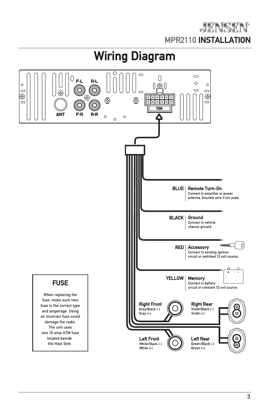

## **Wiring Diagram**

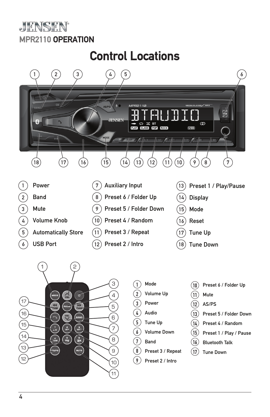### JENSEN **MPR2110 OPERATION**

## **Control Locations**

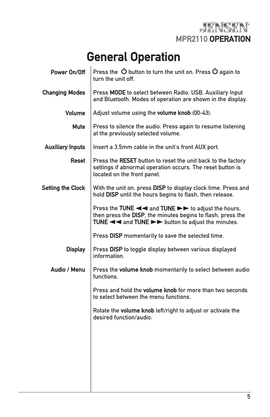

## **General Operation**

| Power On/Off             | Press the $\circledcirc$ button to turn the unit on. Press $\circledcirc$ again to<br>turn the unit off.                                                                                                                          |
|--------------------------|-----------------------------------------------------------------------------------------------------------------------------------------------------------------------------------------------------------------------------------|
| <b>Changing Modes</b>    | Press MODE to select between Radio, USB, Auxiliary Input<br>and Bluetooth. Modes of operation are shown in the display.                                                                                                           |
| <b>Volume</b>            | Adjust volume using the volume knob (00-43).                                                                                                                                                                                      |
| Mute                     | Press to silence the audio. Press again to resume listening<br>at the previously selected volume.                                                                                                                                 |
| <b>Auxiliary Inputs</b>  | Insert a 3.5mm cable in the unit's front AUX port.                                                                                                                                                                                |
| Reset                    | Press the RESET button to reset the unit back to the factory<br>settings if abnormal operation occurs. The reset button is<br>located on the front panel.                                                                         |
| <b>Setting the Clock</b> | With the unit on, press DISP to display clock time. Press and<br>hold DISP until the hours begins to flash, then release.                                                                                                         |
|                          | Press the TUNE << and TUNE ►► to adjust the hours,<br>then press the DISP, the minutes begins to flash, press the<br>TUNE $\blacktriangleleft$ and TUNE $\blacktriangleright$ $\blacktriangleright$ button to adjust the minutes. |
|                          | Press DISP momentarily to save the selected time.                                                                                                                                                                                 |
| <b>Display</b>           | Press DISP to toggle display between various displayed<br>information.                                                                                                                                                            |
| Audio / Menu             | Press the volume knob momentarily to select between audio<br>functions.                                                                                                                                                           |
|                          | Press and hold the volume knob for more than two seconds<br>to select between the menu functions.                                                                                                                                 |
|                          | Rotate the volume knob left/right to adjust or activate the<br>desired function/audio.                                                                                                                                            |
|                          |                                                                                                                                                                                                                                   |
|                          |                                                                                                                                                                                                                                   |
|                          |                                                                                                                                                                                                                                   |
|                          |                                                                                                                                                                                                                                   |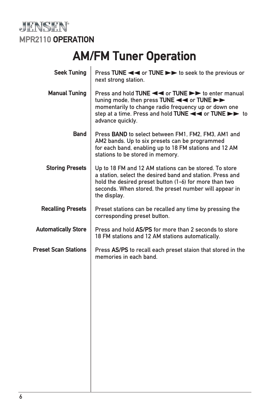

## **AM/FM Tuner Operation**

| <b>Seek Tuning</b>          | next strong station.                                                                                                                                                                                                                                    |  |
|-----------------------------|---------------------------------------------------------------------------------------------------------------------------------------------------------------------------------------------------------------------------------------------------------|--|
| <b>Manual Tuning</b>        | momentarily to change radio frequency up or down one<br>advance quickly.                                                                                                                                                                                |  |
| <b>Band</b>                 | Press BAND to select between FM1, FM2, FM3, AM1 and<br>AM2 bands. Up to six presets can be programmed<br>for each band, enabling up to 18 FM stations and 12 AM<br>stations to be stored in memory.                                                     |  |
| <b>Storing Presets</b>      | Up to 18 FM and 12 AM stations can be stored. To store<br>a station, select the desired band and station. Press and<br>hold the desired preset button (1-6) for more than two<br>seconds. When stored, the preset number will appear in<br>the display. |  |
| <b>Recalling Presets</b>    | Preset stations can be recalled any time by pressing the<br>corresponding preset button.                                                                                                                                                                |  |
| <b>Automatically Store</b>  | Press and hold AS/PS for more than 2 seconds to store<br>18 FM stations and 12 AM stations automatically.                                                                                                                                               |  |
| <b>Preset Scan Stations</b> | Press AS/PS to recall each preset staion that stored in the<br>memories in each band.                                                                                                                                                                   |  |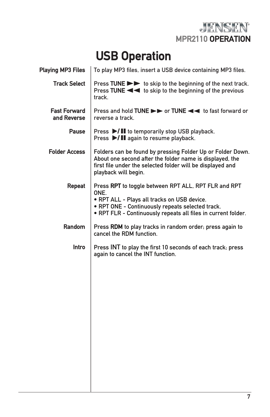JENSEN **MPR2110 OPERATION**

## **USB Operation**

| <b>Playing MP3 Files</b>           | To play MP3 files, insert a USB device containing MP3 files.                                                                                                                                                                     |  |
|------------------------------------|----------------------------------------------------------------------------------------------------------------------------------------------------------------------------------------------------------------------------------|--|
| <b>Track Select</b>                | Press TUNE >> to skip to the beginning of the next track.<br>track.                                                                                                                                                              |  |
| <b>Fast Forward</b><br>and Reverse | Press and hold TUNE ►► or TUNE << to fast forward or<br>reverse a track.                                                                                                                                                         |  |
| <b>Pause</b>                       | Press ▶/ II to temporarily stop USB playback.<br>Press ▶/ II again to resume playback.                                                                                                                                           |  |
| <b>Folder Access</b>               | Folders can be found by pressing Folder Up or Folder Down.<br>About one second after the folder name is displayed, the<br>first file under the selected folder will be displayed and<br>playback will begin.                     |  |
| Repeat                             | Press RPT to toggle between RPT ALL, RPT FLR and RPT<br>ONE.<br>. RPT ALL - Plays all tracks on USB device.<br>. RPT ONE - Continuously repeats selected track.<br>. RPT FLR - Continuously repeats all files in current folder. |  |
| <b>Random</b>                      | Press RDM to play tracks in random order; press again to<br>cancel the RDM function.                                                                                                                                             |  |
| <b>Intro</b>                       | Press INT to play the first 10 seconds of each track; press<br>again to cancel the INT function.                                                                                                                                 |  |
|                                    |                                                                                                                                                                                                                                  |  |
|                                    |                                                                                                                                                                                                                                  |  |
|                                    |                                                                                                                                                                                                                                  |  |
|                                    |                                                                                                                                                                                                                                  |  |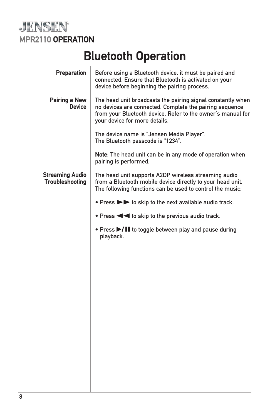

## **Bluetooth Operation**

| Preparation                                      | Before using a Bluetooth device, it must be paired and<br>connected. Ensure that Bluetooth is activated on your<br>device before beginning the pairing process.                                                        |
|--------------------------------------------------|------------------------------------------------------------------------------------------------------------------------------------------------------------------------------------------------------------------------|
| Pairing a New<br><b>Device</b>                   | The head unit broadcasts the pairing signal constantly when<br>no devices are connected. Complete the pairing sequence<br>from your Bluetooth device. Refer to the owner's manual for<br>your device for more details. |
|                                                  | The device name is "Jensen Media Player".<br>The Bluetooth passcode is "1234".                                                                                                                                         |
|                                                  | Note: The head unit can be in any mode of operation when<br>pairing is performed.                                                                                                                                      |
| <b>Streaming Audio</b><br><b>Troubleshooting</b> | The head unit supports A2DP wireless streaming audio<br>from a Bluetooth mobile device directly to your head unit.<br>The following functions can be used to control the music:                                        |
|                                                  | • Press >> to skip to the next available audio track.                                                                                                                                                                  |
|                                                  |                                                                                                                                                                                                                        |
|                                                  | • Press >/II to toggle between play and pause during<br>playback.                                                                                                                                                      |
|                                                  |                                                                                                                                                                                                                        |
|                                                  |                                                                                                                                                                                                                        |
|                                                  |                                                                                                                                                                                                                        |
|                                                  |                                                                                                                                                                                                                        |
|                                                  |                                                                                                                                                                                                                        |
|                                                  |                                                                                                                                                                                                                        |
|                                                  |                                                                                                                                                                                                                        |
|                                                  |                                                                                                                                                                                                                        |
|                                                  |                                                                                                                                                                                                                        |
|                                                  |                                                                                                                                                                                                                        |
|                                                  |                                                                                                                                                                                                                        |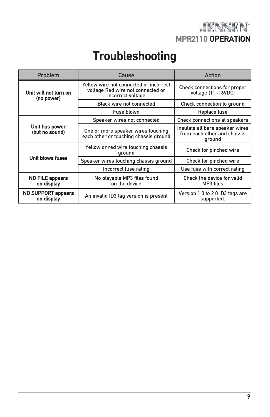

## **Troubleshooting**

| Problem                                 | Cause                                                                                            | Action                                                                   |
|-----------------------------------------|--------------------------------------------------------------------------------------------------|--------------------------------------------------------------------------|
| Unit will not turn on<br>(no power)     | Yellow wire not connected or incorrect<br>voltage Red wire not connected or<br>incorrect voltage | Check connections for proper<br>voltage $(11~16VDC)$                     |
|                                         | <b>Black wire not connected</b>                                                                  | Check connection to ground                                               |
|                                         | Fuse blown                                                                                       | Replace fuse                                                             |
| Unit has power<br>(but no sound)        | Speaker wires not connected                                                                      | Check connections at speakers                                            |
|                                         | One or more speaker wires touching<br>each other or touching chassis ground                      | Insulate all bare speaker wires<br>from each other and chassis<br>ground |
| Unit blows fuses                        | Yellow or red wire touching chassis<br>ground                                                    | Check for pinched wire                                                   |
|                                         | Speaker wires touching chassis ground                                                            | Check for pinched wire                                                   |
|                                         | Incorrect fuse rating                                                                            | Use fuse with correct rating                                             |
| <b>NO FILE appears</b><br>on display    | No playable MP3 files found<br>on the device                                                     | Check the device for valid<br>MP3 files                                  |
| <b>NO SUPPORT appears</b><br>on display | An invalid ID3 tag version is present                                                            | Version 1.0 to 2.0 ID3 tags are<br>supported.                            |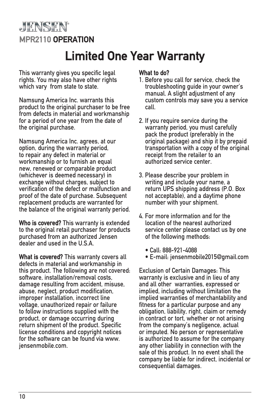### **JENSEN MPR2110 OPERATION**

## **Limited One Year Warranty**

This warranty gives you specific legal rights. You may also have other rights which vary from state to state.

Namsung America Inc. warrants this product to the original purchaser to be free from defects in material and workmanship for a period of one year from the date of the original purchase.

Namsung America Inc. agrees, at our option, during the warranty period, to repair any defect in material or workmanship or to furnish an equal new, renewed or comparable product (whichever is deemed necessary) in exchange without charges, subject to verification of the defect or malfunction and proof of the date of purchase. Subsequent replacement products are warranted for the balance of the original warranty period.

**Who is covered?** This warranty is extended to the original retail purchaser for products purchased from an authorized Jensen dealer and used in the U.S.A.

**What is covered?** This warranty covers all defects in material and workmanship in this product. The following are not covered: software, installation/removal costs damage resulting from accident, misuse, abuse, neglect, product modification, improper installation, incorrect line voltage, unauthorized repair or failure to follow instructions supplied with the product, or damage occurring during return shipment of the product. Specific license conditions and copyright notices for the software can be found via www. jensenmobile.com.

#### **What to do?**

- 1. Before you call for service, check the troubleshooting guide in your owner's manual. A slight adjustment of any custom controls may save you a service call.
- 2. If you require service during the warranty period, you must carefully pack the product (preferably in the original package) and ship it by prepaid transportation with a copy of the original receipt from the retailer to an authorized service center.
- 3. Please describe your problem in writing and include your name, a return UPS shipping address (P.O. Box not acceptable), and a daytime phone number with your shipment.
- 4. For more information and for the location of the nearest authorized service center please contact us by one of the following methods:
	- Call: 888-921-4088
	- E-mail: jensenmobile2015@gmail.com

Exclusion of Certain Damages: This warranty is exclusive and in lieu of any and all other warranties, expressed or implied, including without limitation the implied warranties of merchantability and fitness for a particular purpose and any obligation, liability, right, claim or remedy in contract or tort, whether or not arising from the company's negligence, actual or imputed. No person or representative is authorized to assume for the company any other liability in connection with the sale of this product. In no event shall the company be liable for indirect, incidental or consequential damages.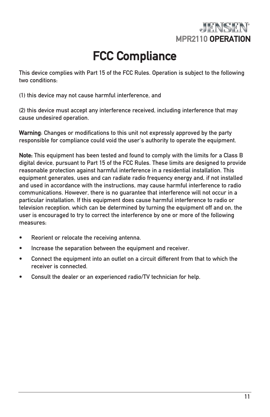

## **FCC Compliance**

This device complies with Part 15 of the FCC Rules. Operation is subject to the following two conditions:

(1) this device may not cause harmful interference, and

(2) this device must accept any interference received, including interference that may cause undesired operation.

**Warning**: Changes or modifications to this unit not expressly approved by the party responsible for compliance could void the user's authority to operate the equipment.

**Note:** This equipment has been tested and found to comply with the limits for a Class B digital device, pursuant to Part 15 of the FCC Rules. These limits are designed to provide reasonable protection against harmful interference in a residential installation. This equipment generates, uses and can radiate radio frequency energy and, if not installed and used in accordance with the instructions, may cause harmful interference to radio communications. However, there is no guarantee that interference will not occur in a particular installation. If this equipment does cause harmful interference to radio or television reception, which can be determined by turning the equipment off and on, the user is encouraged to try to correct the interference by one or more of the following measures:

- Reorient or relocate the receiving antenna.
- Increase the separation between the equipment and receiver.
- Connect the equipment into an outlet on a circuit different from that to which the receiver is connected.
- Consult the dealer or an experienced radio/TV technician for help.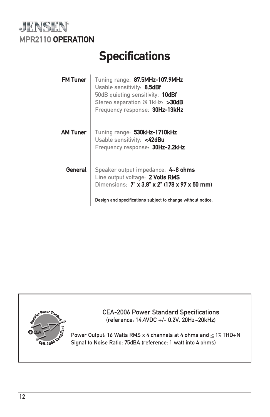

## **Specifications**

| <b>FM Tuner</b> | Tuning range: 87.5MHz-107.9MHz<br>Usable sensitivity: 8.5dBf<br>50dB quieting sensitivity: 10dBf<br>Stereo separation @ 1kHz: >30dB<br>Frequency response: 30Hz-13kHz |
|-----------------|-----------------------------------------------------------------------------------------------------------------------------------------------------------------------|
| <b>AM Tuner</b> | Tuning range: 530kHz-1710kHz<br>Usable sensitivity: <42dBu<br>Frequency response: 30Hz-2.2kHz                                                                         |
| General         | Speaker output impedance: 4~8 ohms<br>Line output voltage: 2 Volts RMS<br>Dimensions: 7" x 3.8" x 2" (178 x 97 x 50 mm)                                               |
|                 | Design and specifications subject to change without notice.                                                                                                           |



CEA-2006 Power Standard Specifications (reference: 14.4VDC +/- 0.2V, 20Hz~20kHz)

Power Output: 16 Watts RMS x 4 channels at 4 ohms and  $\leq$  1% THD+N Signal to Noise Ratio: 75dBA (reference: 1 watt into 4 ohms)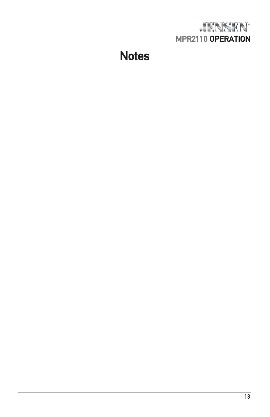

## **Notes**